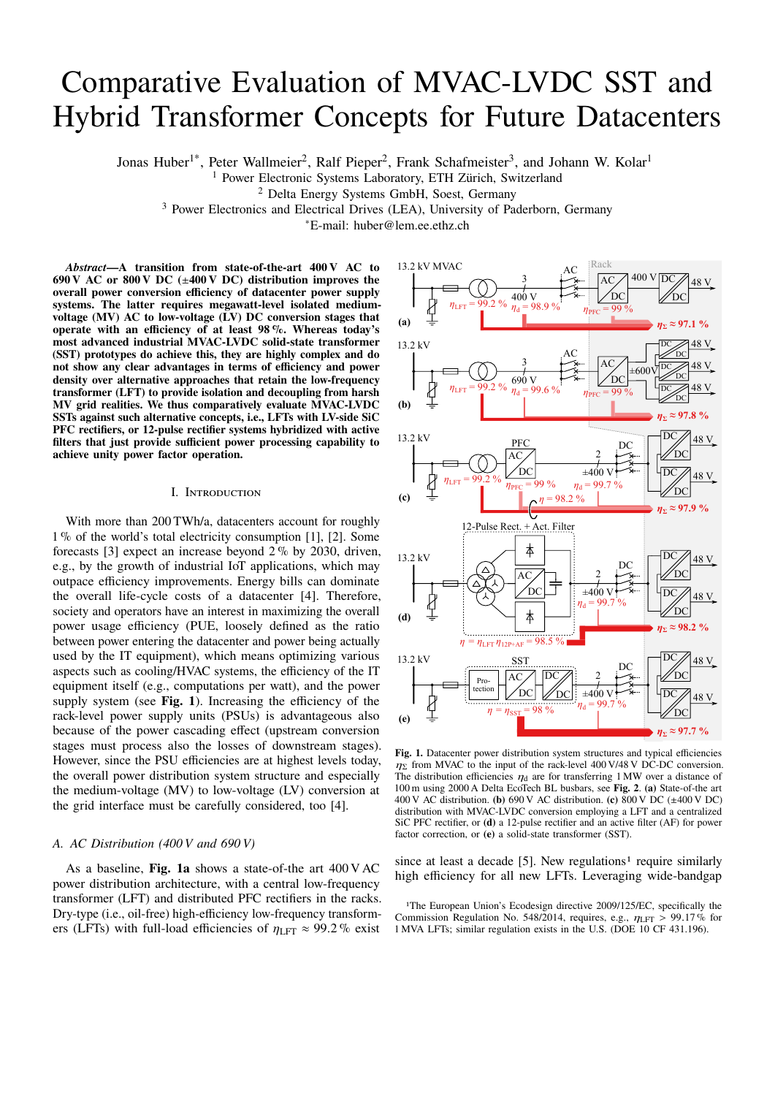# Comparative Evaluation of MVAC-LVDC SST and Hybrid Transformer Concepts for Future Datacenters

Jonas Huber<sup>1\*</sup>, Peter Wallmeier<sup>2</sup>, Ralf Pieper<sup>2</sup>, Frank Schafmeister<sup>3</sup>, and Johann W. Kolar<sup>1</sup>

<sup>1</sup> Power Electronic Systems Laboratory, ETH Zürich, Switzerland

<sup>2</sup> Delta Energy Systems GmbH, Soest, Germany

<sup>3</sup> Power Electronics and Electrical Drives (LEA), University of Paderborn, Germany

<sup>∗</sup>E-mail: huber@lem.ee.ethz.ch

*Abstract***—A transition from state-of-the-art 400 V AC to 690 V AC or 800 V DC (**±**400 V DC) distribution improves the overall power conversion efficiency of datacenter power supply systems. The latter requires megawatt-level isolated mediumvoltage (MV) AC to low-voltage (LV) DC conversion stages that operate with an efficiency of at least 98 %. Whereas today's most advanced industrial MVAC-LVDC solid-state transformer (SST) prototypes do achieve this, they are highly complex and do not show any clear advantages in terms of efficiency and power density over alternative approaches that retain the low-frequency transformer (LFT) to provide isolation and decoupling from harsh MV grid realities. We thus comparatively evaluate MVAC-LVDC SSTs against such alternative concepts, i.e., LFTs with LV-side SiC PFC rectifiers, or 12-pulse rectifier systems hybridized with active filters that just provide sufficient power processing capability to achieve unity power factor operation.**

## I. Introduction

With more than 200 TWh/a, datacenters account for roughly 1 % of the world's total electricity consumption [1], [2]. Some forecasts [3] expect an increase beyond 2 % by 2030, driven, e.g., by the growth of industrial IoT applications, which may outpace efficiency improvements. Energy bills can dominate the overall life-cycle costs of a datacenter [4]. Therefore, society and operators have an interest in maximizing the overall power usage efficiency (PUE, loosely defined as the ratio between power entering the datacenter and power being actually used by the IT equipment), which means optimizing various aspects such as cooling/HVAC systems, the efficiency of the IT equipment itself (e.g., computations per watt), and the power supply system (see **Fig. 1**). Increasing the efficiency of the rack-level power supply units (PSUs) is advantageous also because of the power cascading effect (upstream conversion stages must process also the losses of downstream stages). However, since the PSU efficiencies are at highest levels today, the overall power distribution system structure and especially the medium-voltage (MV) to low-voltage (LV) conversion at the grid interface must be carefully considered, too [4].

# *A. AC Distribution (400 V and 690 V)*

As a baseline, **Fig. 1a** shows a state-of-the art 400 V AC power distribution architecture, with a central low-frequency transformer (LFT) and distributed PFC rectifiers in the racks. Dry-type (i.e., oil-free) high-efficiency low-frequency transformers (LFTs) with full-load efficiencies of  $\eta_{\text{LFT}} \approx 99.2\%$  exist



Fig. 1. Datacenter power distribution system structures and typical efficiencies  $\eta_{\Sigma}$  from MVAC to the input of the rack-level 400 V/48 V DC-DC conversion. The distribution efficiencies  $\eta_d$  are for transferring 1 MW over a distance of 100 m using 2000 A Delta EcoTech BL busbars, see **Fig. 2**. **(a)** State-of-the art 400 V AC distribution. **(b)** 690 V AC distribution. **(c)** 800 V DC (±400 V DC) distribution with MVAC-LVDC conversion employing a LFT and a centralized SiC PFC rectifier, or **(d)** a 12-pulse rectifier and an active filter (AF) for power factor correction, or **(e)** a solid-state transformer (SST).

since at least a decade [5]. New regulations<sup>1</sup> require similarly high efficiency for all new LFTs. Leveraging wide-bandgap

1The European Union's Ecodesign directive 2009/125/EC, specifically the Commission Regulation No. 548/2014, requires, e.g.,  $\eta_{\text{LFT}} > 99.17\%$  for 1 MVA LFTs; similar regulation exists in the U.S. (DOE 10 CF 431.196).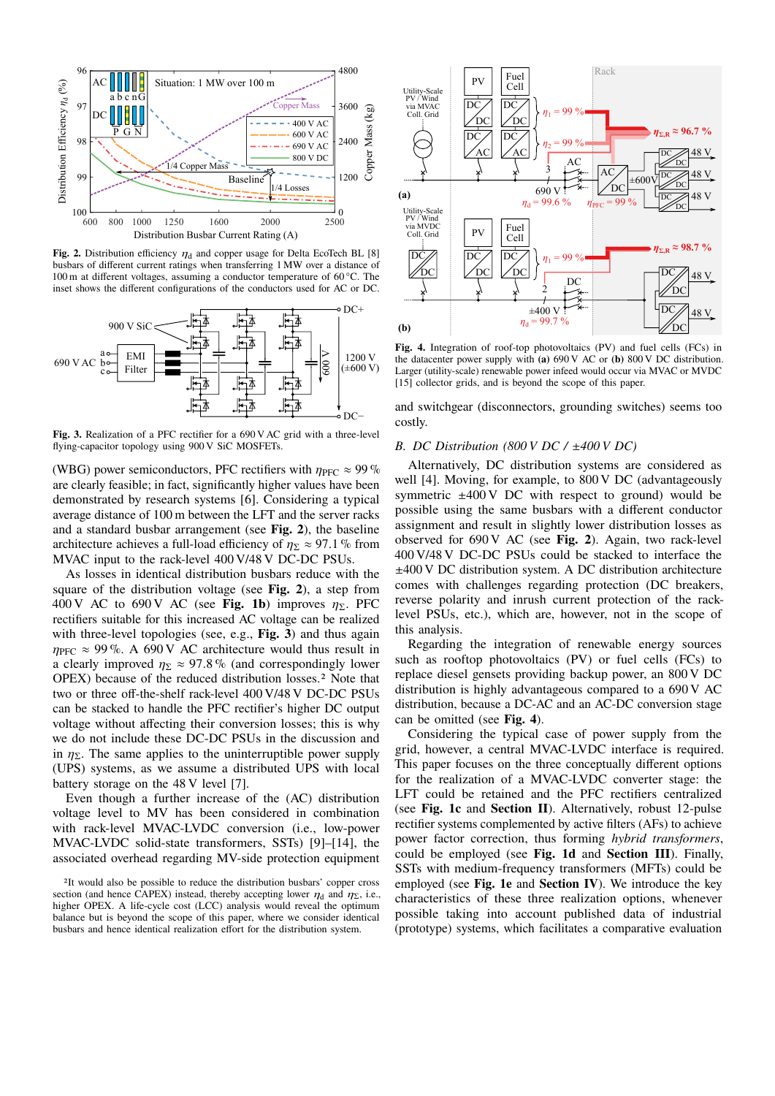

**Fig. 2.** Distribution efficiency  $\eta_d$  and copper usage for Delta EcoTech BL [8] busbars of different current ratings when transferring 1 MW over a distance of 100 m at different voltages, assuming a conductor temperature of 60 °C. The inset shows the different configurations of the conductors used for AC or DC.



Fig. 3. Realization of a PFC rectifier for a 690 V AC grid with a three-level flying-capacitor topology using 900 V SiC MOSFETs.

(WBG) power semiconductors, PFC rectifiers with  $\eta_{PFC} \approx 99\%$ are clearly feasible; in fact, significantly higher values have been demonstrated by research systems [6]. Considering a typical average distance of 100 m between the LFT and the server racks and a standard busbar arrangement (see **Fig. 2**), the baseline architecture achieves a full-load efficiency of  $\eta_{\Sigma} \approx 97.1$ % from MVAC input to the rack-level 400 V/48 V DC-DC PSUs.

As losses in identical distribution busbars reduce with the square of the distribution voltage (see **Fig. 2**), a step from 400 V AC to 690 V AC (see **Fig. 1b**) improves  $\eta_{\Sigma}$ . PFC rectifiers suitable for this increased AC voltage can be realized with three-level topologies (see, e.g., **Fig. 3**) and thus again  $\eta_{\text{PFC}} \approx 99\%$ . A 690 V AC architecture would thus result in a clearly improved  $\eta_{\Sigma} \approx 97.8\%$  (and correspondingly lower OPEX) because of the reduced distribution losses.2 Note that two or three off-the-shelf rack-level 400 V/48 V DC-DC PSUs can be stacked to handle the PFC rectifier's higher DC output voltage without affecting their conversion losses; this is why we do not include these DC-DC PSUs in the discussion and in  $\eta_{\Sigma}$ . The same applies to the uninterruptible power supply (UPS) systems, as we assume a distributed UPS with local battery storage on the 48 V level [7].

Even though a further increase of the (AC) distribution voltage level to MV has been considered in combination with rack-level MVAC-LVDC conversion (i.e., low-power MVAC-LVDC solid-state transformers, SSTs) [9]–[14], the associated overhead regarding MV-side protection equipment



**Fig. 4.** Integration of roof-top photovoltaics (PV) and fuel cells (FCs) in the datacenter power supply with **(a)** 690 V AC or **(b)** 800 V DC distribution. Larger (utility-scale) renewable power infeed would occur via MVAC or MVDC [15] collector grids, and is beyond the scope of this paper.

and switchgear (disconnectors, grounding switches) seems too costly.

### *B. DC Distribution (800 V DC /* ±*400 V DC)*

Alternatively, DC distribution systems are considered as well [4]. Moving, for example, to 800 V DC (advantageously symmetric  $\pm 400 \text{ V}$  DC with respect to ground) would be possible using the same busbars with a different conductor assignment and result in slightly lower distribution losses as observed for 690 V AC (see **Fig. 2**). Again, two rack-level 400 V/48 V DC-DC PSUs could be stacked to interface the ±400 V DC distribution system. A DC distribution architecture comes with challenges regarding protection (DC breakers, reverse polarity and inrush current protection of the racklevel PSUs, etc.), which are, however, not in the scope of this analysis.

Regarding the integration of renewable energy sources such as rooftop photovoltaics (PV) or fuel cells (FCs) to replace diesel gensets providing backup power, an 800 V DC distribution is highly advantageous compared to a 690 V AC distribution, because a DC-AC and an AC-DC conversion stage can be omitted (see **Fig. 4**).

Considering the typical case of power supply from the grid, however, a central MVAC-LVDC interface is required. This paper focuses on the three conceptually different options for the realization of a MVAC-LVDC converter stage: the LFT could be retained and the PFC rectifiers centralized (see **Fig. 1c** and **Section II**). Alternatively, robust 12-pulse rectifier systems complemented by active filters (AFs) to achieve power factor correction, thus forming *hybrid transformers*, could be employed (see **Fig. 1d** and **Section III**). Finally, SSTs with medium-frequency transformers (MFTs) could be employed (see **Fig. 1e** and **Section IV**). We introduce the key characteristics of these three realization options, whenever possible taking into account published data of industrial (prototype) systems, which facilitates a comparative evaluation

<sup>2</sup>It would also be possible to reduce the distribution busbars' copper cross section (and hence CAPEX) instead, thereby accepting lower  $\eta_d$  and  $\eta_{\Sigma}$ , i.e., higher OPEX. A life-cycle cost (LCC) analysis would reveal the optimum balance but is beyond the scope of this paper, where we consider identical busbars and hence identical realization effort for the distribution system.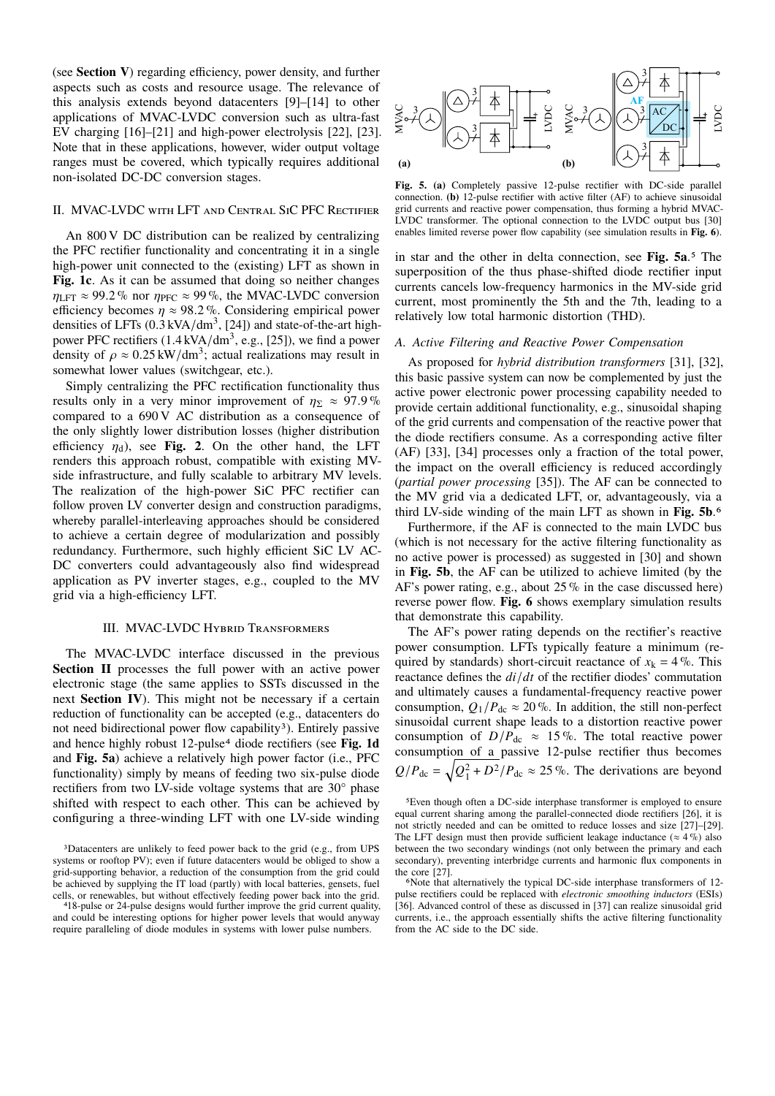(see **Section V**) regarding efficiency, power density, and further aspects such as costs and resource usage. The relevance of this analysis extends beyond datacenters [9]–[14] to other applications of MVAC-LVDC conversion such as ultra-fast EV charging [16]–[21] and high-power electrolysis [22], [23]. Note that in these applications, however, wider output voltage ranges must be covered, which typically requires additional non-isolated DC-DC conversion stages.

# II. MVAC-LVDC with LFT and Central SiC PFC Rectifier

An 800 V DC distribution can be realized by centralizing the PFC rectifier functionality and concentrating it in a single high-power unit connected to the (existing) LFT as shown in **Fig. 1c**. As it can be assumed that doing so neither changes  $\eta_{\text{LFT}} \approx 99.2\%$  nor  $\eta_{\text{PFC}} \approx 99\%$ , the MVAC-LVDC conversion efficiency becomes  $\eta \approx 98.2$ %. Considering empirical power densities of LFTs  $(0.3 \text{ kVA/dm}^3, [24])$  and state-of-the-art highpower PFC rectifiers  $(1.4 \text{ kVA/dm}^3, \text{ e.g., } [25])$ , we find a power density of  $\rho \approx 0.25 \text{ kW/dm}^3$ ; actual realizations may result in somewhat lower values (switchgear, etc.).

Simply centralizing the PFC rectification functionality thus results only in a very minor improvement of  $\eta_{\Sigma} \approx 97.9\%$ compared to a 690 V AC distribution as a consequence of the only slightly lower distribution losses (higher distribution efficiency  $\eta_d$ ), see **Fig. 2**. On the other hand, the LFT renders this approach robust, compatible with existing MVside infrastructure, and fully scalable to arbitrary MV levels. The realization of the high-power SiC PFC rectifier can follow proven LV converter design and construction paradigms, whereby parallel-interleaving approaches should be considered to achieve a certain degree of modularization and possibly redundancy. Furthermore, such highly efficient SiC LV AC-DC converters could advantageously also find widespread application as PV inverter stages, e.g., coupled to the MV grid via a high-efficiency LFT. applied to the VVACUVDC current set in the signification of MVACUVDC current in state in state in space of the system and the system and the system in the system in the system in the system in the system in the system in

# III. MVAC-LVDC Hybrid Transformers

The MVAC-LVDC interface discussed in the previous **Section II** processes the full power with an active power electronic stage (the same applies to SSTs discussed in the next **Section IV**). This might not be necessary if a certain reduction of functionality can be accepted (e.g., datacenters do not need bidirectional power flow capability<sup>3</sup>). Entirely passive and hence highly robust 12-pulse4 diode rectifiers (see **Fig. 1d** and **Fig. 5a**) achieve a relatively high power factor (i.e., PFC functionality) simply by means of feeding two six-pulse diode rectifiers from two LV-side voltage systems that are 30° phase shifted with respect to each other. This can be achieved by configuring a three-winding LFT with one LV-side winding



**Fig. 5. (a)** Completely passive 12-pulse rectifier with DC-side parallel connection. **(b)** 12-pulse rectifier with active filter (AF) to achieve sinusoidal grid currents and reactive power compensation, thus forming a hybrid MVAC-LVDC transformer. The optional connection to the LVDC output bus [30] enables limited reverse power flow capability (see simulation results in **Fig. 6**).

in star and the other in delta connection, see **Fig. 5a**.5 The superposition of the thus phase-shifted diode rectifier input currents cancels low-frequency harmonics in the MV-side grid current, most prominently the 5th and the 7th, leading to a relatively low total harmonic distortion (THD).

#### *A. Active Filtering and Reactive Power Compensation*

As proposed for *hybrid distribution transformers* [31], [32], this basic passive system can now be complemented by just the active power electronic power processing capability needed to provide certain additional functionality, e.g., sinusoidal shaping of the grid currents and compensation of the reactive power that the diode rectifiers consume. As a corresponding active filter (AF) [33], [34] processes only a fraction of the total power, the impact on the overall efficiency is reduced accordingly (*partial power processing* [35]). The AF can be connected to the MV grid via a dedicated LFT, or, advantageously, via a third LV-side winding of the main LFT as shown in **Fig. 5b**.6

Furthermore, if the AF is connected to the main LVDC bus (which is not necessary for the active filtering functionality as no active power is processed) as suggested in [30] and shown in **Fig. 5b**, the AF can be utilized to achieve limited (by the AF's power rating, e.g., about 25 % in the case discussed here) reverse power flow. **Fig. 6** shows exemplary simulation results that demonstrate this capability.

The AF's power rating depends on the rectifier's reactive power consumption. LFTs typically feature a minimum (required by standards) short-circuit reactance of  $x_k = 4\%$ . This reactance defines the  $di/dt$  of the rectifier diodes' commutation and ultimately causes a fundamental-frequency reactive power consumption,  $Q_1/P_{\text{dc}} \approx 20\%$ . In addition, the still non-perfect sinusoidal current shape leads to a distortion reactive power consumption of  $D/P_{\text{dc}} \approx 15\%$ . The total reactive power consumption of a passive 12-pulse rectifier thus becomes  $Q/P_{\text{dc}} = \sqrt{Q_1^2 + D^2}/P_{\text{dc}} \approx 25\%$ . The derivations are beyond

<sup>3</sup>Datacenters are unlikely to feed power back to the grid (e.g., from UPS systems or rooftop PV); even if future datacenters would be obliged to show a grid-supporting behavior, a reduction of the consumption from the grid could be achieved by supplying the IT load (partly) with local batteries, gensets, fuel cells, or renewables, but without effectively feeding power back into the grid.

<sup>4</sup>18-pulse or 24-pulse designs would further improve the grid current quality, and could be interesting options for higher power levels that would anyway

<sup>5</sup>Even though often a DC-side interphase transformer is employed to ensure equal current sharing among the parallel-connected diode rectifiers [26], it is not strictly needed and can be omitted to reduce losses and size [27]–[29]. The LFT design must then provide sufficient leakage inductance ( $\approx 4\%$ ) also between the two secondary windings (not only between the primary and each secondary), preventing interbridge currents and harmonic flux components in the core [27].

<sup>6</sup>Note that alternatively the typical DC-side interphase transformers of 12 pulse rectifiers could be replaced with *electronic smoothing inductors* (ESIs) [36]. Advanced control of these as discussed in [37] can realize sinusoidal grid currents, i.e., the approach essentially shifts the active filtering functionality from the AC side to the DC side.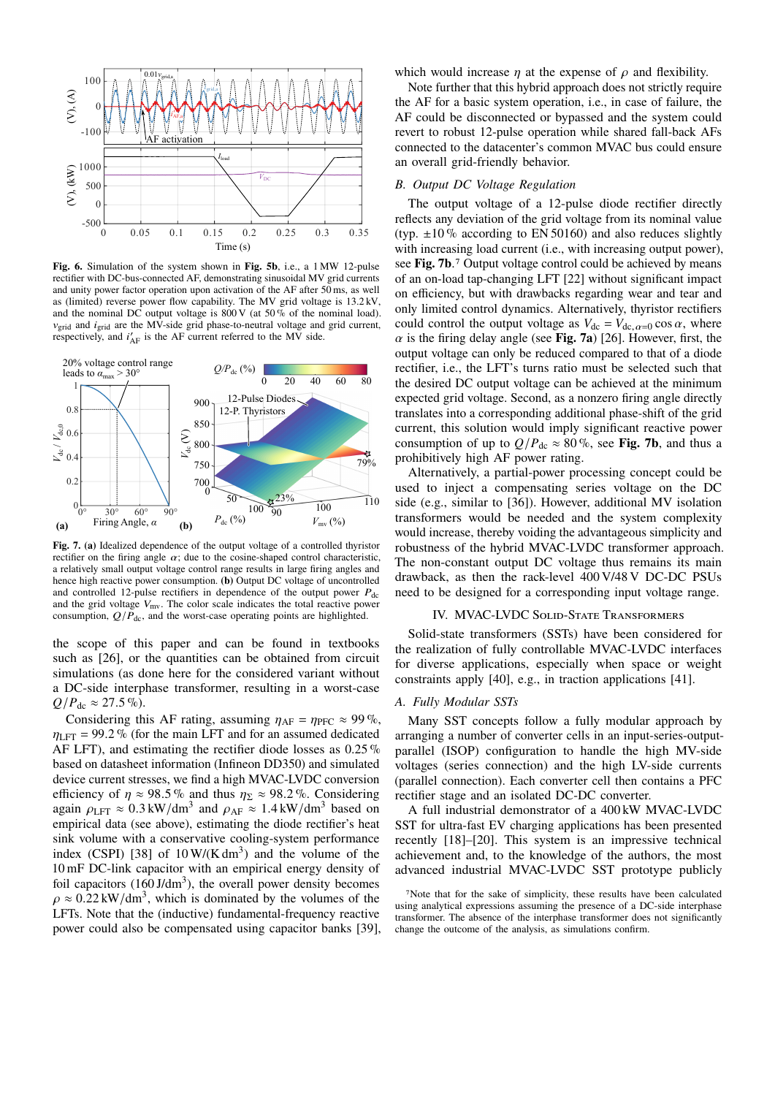

**Fig. 6.** Simulation of the system shown in **Fig. 5b**, i.e., a 1 MW 12-pulse rectifier with DC-bus-connected AF, demonstrating sinusoidal MV grid currents and unity power factor operation upon activation of the AF after 50 ms, as well as (limited) reverse power flow capability. The MV grid voltage is 13.2 kV, and the nominal DC output voltage is  $800 \text{ V}$  (at  $50\%$  of the nominal load).  $v_{\text{grid}}$  and  $i_{\text{grid}}$  are the MV-side grid phase-to-neutral voltage and grid current, respectively, and  $i'_{AF}$  is the AF current referred to the MV side.



**Fig. 7. (a)** Idealized dependence of the output voltage of a controlled thyristor rectifier on the firing angle  $\alpha$ ; due to the cosine-shaped control characteristic, a relatively small output voltage control range results in large firing angles and hence high reactive power consumption. **(b)** Output DC voltage of uncontrolled and controlled 12-pulse rectifiers in dependence of the output power  $P_{dc}$ and the grid voltage  $V_{\text{mv}}$ . The color scale indicates the total reactive power consumption,  $Q/P_{\text{dc}}$ , and the worst-case operating points are highlighted.

the scope of this paper and can be found in textbooks such as [26], or the quantities can be obtained from circuit simulations (as done here for the considered variant without a DC-side interphase transformer, resulting in a worst-case  $Q/P_{\text{dc}} \approx 27.5\%$ ).

Considering this AF rating, assuming  $\eta_{AF} = \eta_{PFC} \approx 99\%$ ,  $\eta_{\text{LET}} = 99.2\%$  (for the main LFT and for an assumed dedicated AF LFT), and estimating the rectifier diode losses as 0.25 % based on datasheet information (Infineon DD350) and simulated device current stresses, we find a high MVAC-LVDC conversion efficiency of  $\eta \approx 98.5\%$  and thus  $\eta_{\Sigma} \approx 98.2\%$ . Considering again  $\rho_{\text{LFT}} \approx 0.3 \text{ kW/dm}^3$  and  $\rho_{\text{AF}} \approx 1.4 \text{ kW/dm}^3$  based on empirical data (see above), estimating the diode rectifier's heat sink volume with a conservative cooling-system performance index (CSPI) [38] of  $10 \text{ W/(K dm}^3)$  and the volume of the 10 mF DC-link capacitor with an empirical energy density of foil capacitors  $(160 \text{ J/dm}^3)$ , the overall power density becomes  $\rho \approx 0.22 \text{ kW/dm}^3$ , which is dominated by the volumes of the LFTs. Note that the (inductive) fundamental-frequency reactive power could also be compensated using capacitor banks [39], which would increase  $\eta$  at the expense of  $\rho$  and flexibility.

Note further that this hybrid approach does not strictly require the AF for a basic system operation, i.e., in case of failure, the AF could be disconnected or bypassed and the system could revert to robust 12-pulse operation while shared fall-back AFs connected to the datacenter's common MVAC bus could ensure an overall grid-friendly behavior.

## *B. Output DC Voltage Regulation*

The output voltage of a 12-pulse diode rectifier directly reflects any deviation of the grid voltage from its nominal value (typ.  $\pm 10\%$  according to EN 50160) and also reduces slightly with increasing load current (i.e., with increasing output power), see **Fig. 7b**.7 Output voltage control could be achieved by means of an on-load tap-changing LFT [22] without significant impact on efficiency, but with drawbacks regarding wear and tear and only limited control dynamics. Alternatively, thyristor rectifiers could control the output voltage as  $V_{dc} = V_{dc, \alpha=0} \cos \alpha$ , where  $\alpha$  is the firing delay angle (see **Fig. 7a**) [26]. However, first, the output voltage can only be reduced compared to that of a diode rectifier, i.e., the LFT's turns ratio must be selected such that the desired DC output voltage can be achieved at the minimum expected grid voltage. Second, as a nonzero firing angle directly translates into a corresponding additional phase-shift of the grid current, this solution would imply significant reactive power consumption of up to  $Q/P_{\text{dc}} \approx 80\%$ , see Fig. 7b, and thus a prohibitively high AF power rating.

Alternatively, a partial-power processing concept could be used to inject a compensating series voltage on the DC side (e.g., similar to [36]). However, additional MV isolation transformers would be needed and the system complexity would increase, thereby voiding the advantageous simplicity and robustness of the hybrid MVAC-LVDC transformer approach. The non-constant output DC voltage thus remains its main drawback, as then the rack-level 400 V/48 V DC-DC PSUs need to be designed for a corresponding input voltage range.

#### IV. MVAC-LVDC Solid-State Transformers

Solid-state transformers (SSTs) have been considered for the realization of fully controllable MVAC-LVDC interfaces for diverse applications, especially when space or weight constraints apply [40], e.g., in traction applications [41].

# *A. Fully Modular SSTs*

Many SST concepts follow a fully modular approach by arranging a number of converter cells in an input-series-outputparallel (ISOP) configuration to handle the high MV-side voltages (series connection) and the high LV-side currents (parallel connection). Each converter cell then contains a PFC rectifier stage and an isolated DC-DC converter.

A full industrial demonstrator of a 400 kW MVAC-LVDC SST for ultra-fast EV charging applications has been presented recently [18]–[20]. This system is an impressive technical achievement and, to the knowledge of the authors, the most advanced industrial MVAC-LVDC SST prototype publicly

<sup>7</sup>Note that for the sake of simplicity, these results have been calculated using analytical expressions assuming the presence of a DC-side interphase transformer. The absence of the interphase transformer does not significantly change the outcome of the analysis, as simulations confirm.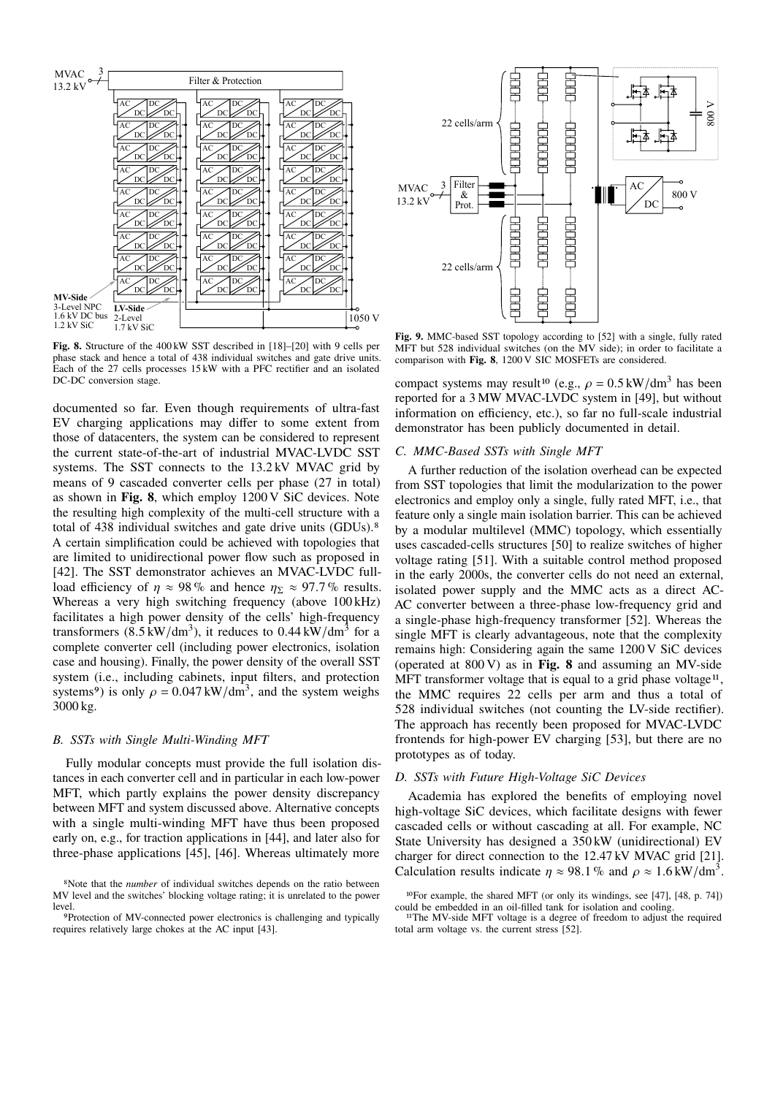

**Fig. 8.** Structure of the 400 kW SST described in [18]–[20] with 9 cells per phase stack and hence a total of 438 individual switches and gate drive units. Each of the 27 cells processes 15 kW with a PFC rectifier and an isolated DC-DC conversion stage.

documented so far. Even though requirements of ultra-fast EV charging applications may differ to some extent from those of datacenters, the system can be considered to represent the current state-of-the-art of industrial MVAC-LVDC SST systems. The SST connects to the 13.2 kV MVAC grid by means of 9 cascaded converter cells per phase (27 in total) as shown in **Fig. 8**, which employ 1200 V SiC devices. Note the resulting high complexity of the multi-cell structure with a total of 438 individual switches and gate drive units (GDUs).8 A certain simplification could be achieved with topologies that are limited to unidirectional power flow such as proposed in [42]. The SST demonstrator achieves an MVAC-LVDC fullload efficiency of  $\eta \approx 98\%$  and hence  $\eta_{\Sigma} \approx 97.7\%$  results. Whereas a very high switching frequency (above 100 kHz) facilitates a high power density of the cells' high-frequency transformers  $(8.5 \text{ kW/dm}^3)$ , it reduces to 0.44 kW/dm<sup>3</sup> for a complete converter cell (including power electronics, isolation case and housing). Finally, the power density of the overall SST system (i.e., including cabinets, input filters, and protection systems<sup>9</sup>) is only  $\rho = 0.047 \text{ kW/dm}^3$ , and the system weighs 3000 kg.

## *B. SSTs with Single Multi-Winding MFT*

Fully modular concepts must provide the full isolation distances in each converter cell and in particular in each low-power MFT, which partly explains the power density discrepancy between MFT and system discussed above. Alternative concepts with a single multi-winding MFT have thus been proposed early on, e.g., for traction applications in [44], and later also for three-phase applications [45], [46]. Whereas ultimately more



**Fig. 9.** MMC-based SST topology according to [52] with a single, fully rated MFT but 528 individual switches (on the MV side); in order to facilitate a comparison with **Fig. 8**, 1200 V SIC MOSFETs are considered.

compact systems may result<sup>10</sup> (e.g.,  $\rho = 0.5 \text{ kW/dm}^3$  has been reported for a 3 MW MVAC-LVDC system in [49], but without information on efficiency, etc.), so far no full-scale industrial demonstrator has been publicly documented in detail.

# *C. MMC-Based SSTs with Single MFT*

A further reduction of the isolation overhead can be expected from SST topologies that limit the modularization to the power electronics and employ only a single, fully rated MFT, i.e., that feature only a single main isolation barrier. This can be achieved by a modular multilevel (MMC) topology, which essentially uses cascaded-cells structures [50] to realize switches of higher voltage rating [51]. With a suitable control method proposed in the early 2000s, the converter cells do not need an external, isolated power supply and the MMC acts as a direct AC-AC converter between a three-phase low-frequency grid and a single-phase high-frequency transformer [52]. Whereas the single MFT is clearly advantageous, note that the complexity remains high: Considering again the same 1200 V SiC devices (operated at 800 V) as in **Fig. 8** and assuming an MV-side MFT transformer voltage that is equal to a grid phase voltage $11$ , the MMC requires 22 cells per arm and thus a total of 528 individual switches (not counting the LV-side rectifier). The approach has recently been proposed for MVAC-LVDC frontends for high-power EV charging [53], but there are no prototypes as of today.

# *D. SSTs with Future High-Voltage SiC Devices*

Academia has explored the benefits of employing novel high-voltage SiC devices, which facilitate designs with fewer cascaded cells or without cascading at all. For example, NC State University has designed a 350 kW (unidirectional) EV charger for direct connection to the 12.47 kV MVAC grid [21]. Calculation results indicate  $\eta \approx 98.1\%$  and  $\rho \approx 1.6 \text{ kW/dm}^3$ .

<sup>8</sup>Note that the *number* of individual switches depends on the ratio between MV level and the switches' blocking voltage rating; it is unrelated to the power level.

<sup>9</sup>Protection of MV-connected power electronics is challenging and typically requires relatively large chokes at the AC input [43].

<sup>10</sup>For example, the shared MFT (or only its windings, see [47], [48, p. 74]) could be embedded in an oil-filled tank for isolation and cooling.

<sup>11</sup>The MV-side MFT voltage is a degree of freedom to adjust the required total arm voltage vs. the current stress [52].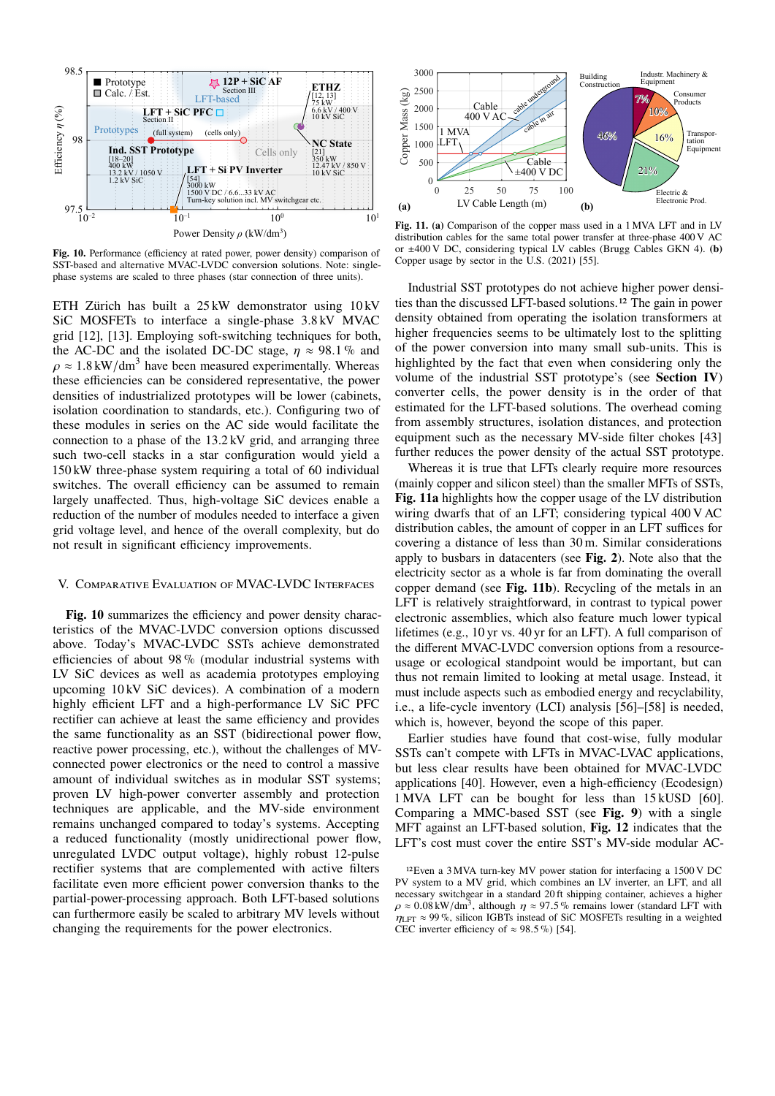

**Fig. 10.** Performance (efficiency at rated power, power density) comparison of SST-based and alternative MVAC-LVDC conversion solutions. Note: singlephase systems are scaled to three phases (star connection of three units).

ETH Zürich has built a 25 kW demonstrator using 10 kV SiC MOSFETs to interface a single-phase 3.8 kV MVAC grid [12], [13]. Employing soft-switching techniques for both, the AC-DC and the isolated DC-DC stage,  $n \approx 98.1\%$  and  $\rho \approx 1.8 \text{ kW/dm}^3$  have been measured experimentally. Whereas these efficiencies can be considered representative, the power densities of industrialized prototypes will be lower (cabinets, isolation coordination to standards, etc.). Configuring two of these modules in series on the AC side would facilitate the connection to a phase of the 13.2 kV grid, and arranging three such two-cell stacks in a star configuration would yield a 150 kW three-phase system requiring a total of 60 individual switches. The overall efficiency can be assumed to remain largely unaffected. Thus, high-voltage SiC devices enable a reduction of the number of modules needed to interface a given grid voltage level, and hence of the overall complexity, but do not result in significant efficiency improvements.

# V. Comparative Evaluation of MVAC-LVDC Interfaces

**Fig. 10** summarizes the efficiency and power density characteristics of the MVAC-LVDC conversion options discussed above. Today's MVAC-LVDC SSTs achieve demonstrated efficiencies of about 98 % (modular industrial systems with LV SiC devices as well as academia prototypes employing upcoming 10 kV SiC devices). A combination of a modern highly efficient LFT and a high-performance LV SiC PFC rectifier can achieve at least the same efficiency and provides the same functionality as an SST (bidirectional power flow, reactive power processing, etc.), without the challenges of MVconnected power electronics or the need to control a massive amount of individual switches as in modular SST systems; proven LV high-power converter assembly and protection techniques are applicable, and the MV-side environment remains unchanged compared to today's systems. Accepting a reduced functionality (mostly unidirectional power flow, unregulated LVDC output voltage), highly robust 12-pulse rectifier systems that are complemented with active filters facilitate even more efficient power conversion thanks to the partial-power-processing approach. Both LFT-based solutions can furthermore easily be scaled to arbitrary MV levels without changing the requirements for the power electronics.



**Fig. 11. (a)** Comparison of the copper mass used in a 1 MVA LFT and in LV distribution cables for the same total power transfer at three-phase 400 V AC or ±400 V DC, considering typical LV cables (Brugg Cables GKN 4). **(b)** Copper usage by sector in the U.S. (2021) [55].

Industrial SST prototypes do not achieve higher power densities than the discussed LFT-based solutions.12 The gain in power density obtained from operating the isolation transformers at higher frequencies seems to be ultimately lost to the splitting of the power conversion into many small sub-units. This is highlighted by the fact that even when considering only the volume of the industrial SST prototype's (see **Section IV**) converter cells, the power density is in the order of that estimated for the LFT-based solutions. The overhead coming from assembly structures, isolation distances, and protection equipment such as the necessary MV-side filter chokes [43] further reduces the power density of the actual SST prototype.

Whereas it is true that LFTs clearly require more resources (mainly copper and silicon steel) than the smaller MFTs of SSTs, **Fig. 11a** highlights how the copper usage of the LV distribution wiring dwarfs that of an LFT; considering typical 400 V AC distribution cables, the amount of copper in an LFT suffices for covering a distance of less than 30 m. Similar considerations apply to busbars in datacenters (see **Fig. 2**). Note also that the electricity sector as a whole is far from dominating the overall copper demand (see **Fig. 11b**). Recycling of the metals in an LFT is relatively straightforward, in contrast to typical power electronic assemblies, which also feature much lower typical lifetimes (e.g., 10 yr vs. 40 yr for an LFT). A full comparison of the different MVAC-LVDC conversion options from a resourceusage or ecological standpoint would be important, but can thus not remain limited to looking at metal usage. Instead, it must include aspects such as embodied energy and recyclability, i.e., a life-cycle inventory (LCI) analysis [56]–[58] is needed, which is, however, beyond the scope of this paper.

Earlier studies have found that cost-wise, fully modular SSTs can't compete with LFTs in MVAC-LVAC applications, but less clear results have been obtained for MVAC-LVDC applications [40]. However, even a high-efficiency (Ecodesign) 1 MVA LFT can be bought for less than 15 kUSD [60]. Comparing a MMC-based SST (see **Fig. 9**) with a single MFT against an LFT-based solution, **Fig. 12** indicates that the LFT's cost must cover the entire SST's MV-side modular AC-

<sup>12</sup>Even a 3 MVA turn-key MV power station for interfacing a 1500 V DC PV system to a MV grid, which combines an LV inverter, an LFT, and all necessary switchgear in a standard 20 ft shipping container, achieves a higher  $\rho \approx 0.08 \text{ kW/dm}^3$ , although  $\eta \approx 97.5\%$  remains lower (standard LFT with  $n_{\text{LET}} \approx 99\%$ , silicon IGBTs instead of SiC MOSFETs resulting in a weighted CEC inverter efficiency of  $\approx 98.5\%$  [54].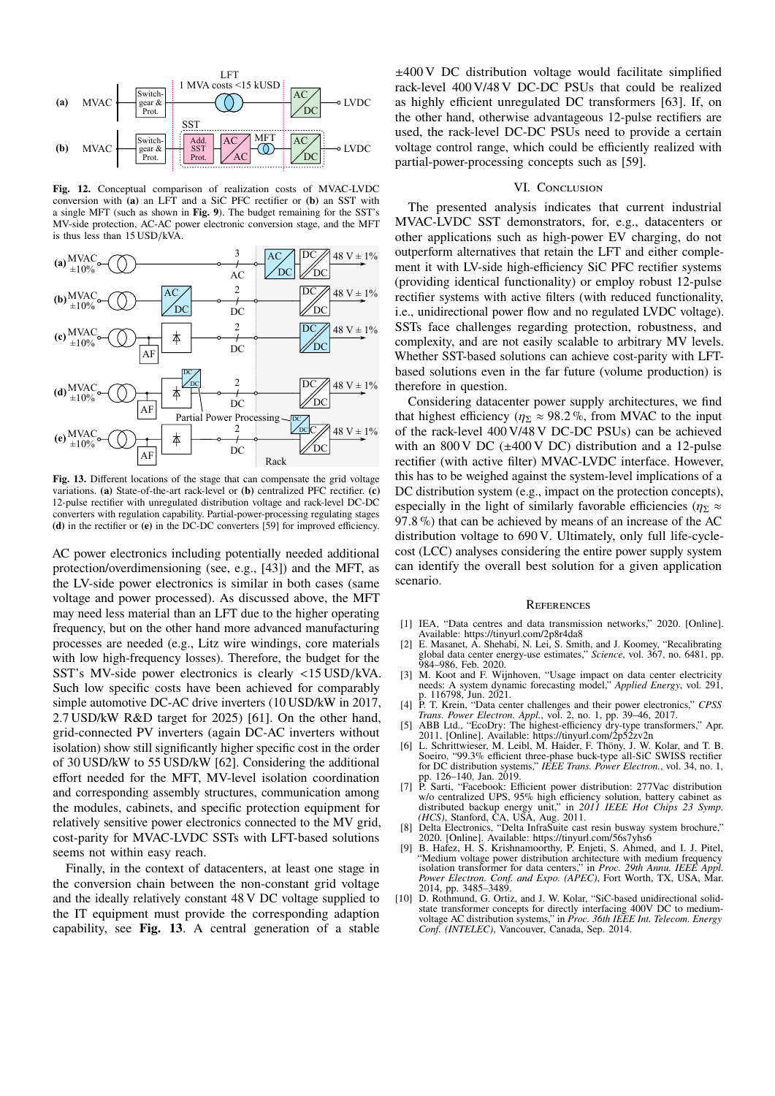

**Fig. 12.** Conceptual comparison of realization costs of MVAC-LVDC conversion with **(a)** an LFT and a SiC PFC rectifier or **(b)** an SST with a single MFT (such as shown in **Fig. 9**). The budget remaining for the SST's MV-side protection, AC-AC power electronic conversion stage, and the MFT is thus less than 15 USD/kVA.



**Fig. 13.** Different locations of the stage that can compensate the grid voltage variations. **(a)** State-of-the-art rack-level or **(b)** centralized PFC rectifier. **(c)** 12-pulse rectifier with unregulated distribution voltage and rack-level DC-DC converters with regulation capability. Partial-power-processing regulating stages **(d)** in the rectifier or **(e)** in the DC-DC converters [59] for improved efficiency.

AC power electronics including potentially needed additional protection/overdimensioning (see, e.g., [43]) and the MFT, as the LV-side power electronics is similar in both cases (same voltage and power processed). As discussed above, the MFT may need less material than an LFT due to the higher operating frequency, but on the other hand more advanced manufacturing processes are needed (e.g., Litz wire windings, core materials with low high-frequency losses). Therefore, the budget for the SST's MV-side power electronics is clearly <15 USD/kVA. Such low specific costs have been achieved for comparably simple automotive DC-AC drive inverters (10 USD/kW in 2017, 2.7 USD/kW R&D target for 2025) [61]. On the other hand, grid-connected PV inverters (again DC-AC inverters without isolation) show still significantly higher specific cost in the order of 30 USD/kW to 55 USD/kW [62]. Considering the additional effort needed for the MFT, MV-level isolation coordination and corresponding assembly structures, communication among the modules, cabinets, and specific protection equipment for relatively sensitive power electronics connected to the MV grid, cost-parity for MVAC-LVDC SSTs with LFT-based solutions seems not within easy reach.

Finally, in the context of datacenters, at least one stage in the conversion chain between the non-constant grid voltage and the ideally relatively constant 48 V DC voltage supplied to the IT equipment must provide the corresponding adaption capability, see **Fig. 13**. A central generation of a stable

±400 V DC distribution voltage would facilitate simplified rack-level 400 V/48 V DC-DC PSUs that could be realized as highly efficient unregulated DC transformers [63]. If, on the other hand, otherwise advantageous 12-pulse rectifiers are used, the rack-level DC-DC PSUs need to provide a certain voltage control range, which could be efficiently realized with partial-power-processing concepts such as [59].

# VI. CONCLUSION

The presented analysis indicates that current industrial MVAC-LVDC SST demonstrators, for, e.g., datacenters or other applications such as high-power EV charging, do not outperform alternatives that retain the LFT and either complement it with LV-side high-efficiency SiC PFC rectifier systems (providing identical functionality) or employ robust 12-pulse rectifier systems with active filters (with reduced functionality, i.e., unidirectional power flow and no regulated LVDC voltage). SSTs face challenges regarding protection, robustness, and complexity, and are not easily scalable to arbitrary MV levels. Whether SST-based solutions can achieve cost-parity with LFTbased solutions even in the far future (volume production) is therefore in question.

Considering datacenter power supply architectures, we find that highest efficiency ( $\eta_{\Sigma} \approx 98.2\%$ , from MVAC to the input of the rack-level 400 V/48 V DC-DC PSUs) can be achieved with an  $800 \text{ V}$  DC ( $\pm 400 \text{ V}$  DC) distribution and a 12-pulse rectifier (with active filter) MVAC-LVDC interface. However, this has to be weighed against the system-level implications of a DC distribution system (e.g., impact on the protection concepts), especially in the light of similarly favorable efficiencies ( $\eta_{\Sigma} \approx$ 97.8 %) that can be achieved by means of an increase of the AC distribution voltage to 690 V. Ultimately, only full life-cyclecost (LCC) analyses considering the entire power supply system can identify the overall best solution for a given application scenario.

#### **REFERENCES**

- [1] IEA, "Data centres and data transmission networks," 2020. [Online]. Available: https://tinyurl.com/2p8r4da8
- [2] E. Masanet, A. Shehabi, N. Lei, S. Smith, and J. Koomey, "Recalibrating global data center energy-use estimates," *Science*, vol. 367, no. 6481, pp. 984–986, Feb. 2020.
- [3] M. Koot and F. Wijnhoven, "Usage impact on data center electricity needs: A system dynamic forecasting model," *Applied Energy*, vol. 291, p. 116798, Jun. 2021.
- [4] P. T. Krein, "Data center challenges and their power electronics," *CPSS*
- *Trans. Power Electron. Appl.*, vol. 2, no. 1, pp. 39–46, 2017. [5] ABB Ltd., "EcoDry: The highest-efficiency dry-type transformers," Apr. 2011. [Online]. Available: https://tinyurl.com/2p52zv2n
- [6] L. Schrittwieser, M. Leibl, M. Haider, F. Thöny, J. W. Kolar, and T. B. Soeiro, "99.3% efficient three-phase buck-type all-SiC SWISS rectifier for DC distribution systems," *IEEE Trans. Power Electron.*, vol. 34, no. 1,
- pp. 126–140, Jan. 2019.<br>
[7] P. Sarti, "Facebook: Efficient power distribution: 277Vac distribution<br>
w/o centralized UPS, 95% high efficiency solution, battery cabinet as<br>
distributed backup energy unit," in 2011 IEEE Hot
- 2020. [Online]. Available: https://tinyurl.com/56s7yhs6 [9] B. Hafez, H. S. Krishnamoorthy, P. Enjeti, S. Ahmed, and I. J. Pitel,
- "Medium voltage power distribution architecture with medium frequency isolation transformer for data centers," in *Proc. 29th Annu. IEEE Appl. Power Electron. Conf. and Expo. (APEC)*, Fort Worth, TX, USA, Mar. 2014, pp. 3485–3489.
- [10] D. Rothmund, G. Ortiz, and J. W. Kolar, "SiC-based unidirectional solidstate transformer concepts for directly interfacing 400V DC to medium-voltage AC distribution systems," in *Proc. 36th IEEE Int. Telecom. Energy Conf. (INTELEC)*, Vancouver, Canada, Sep. 2014.